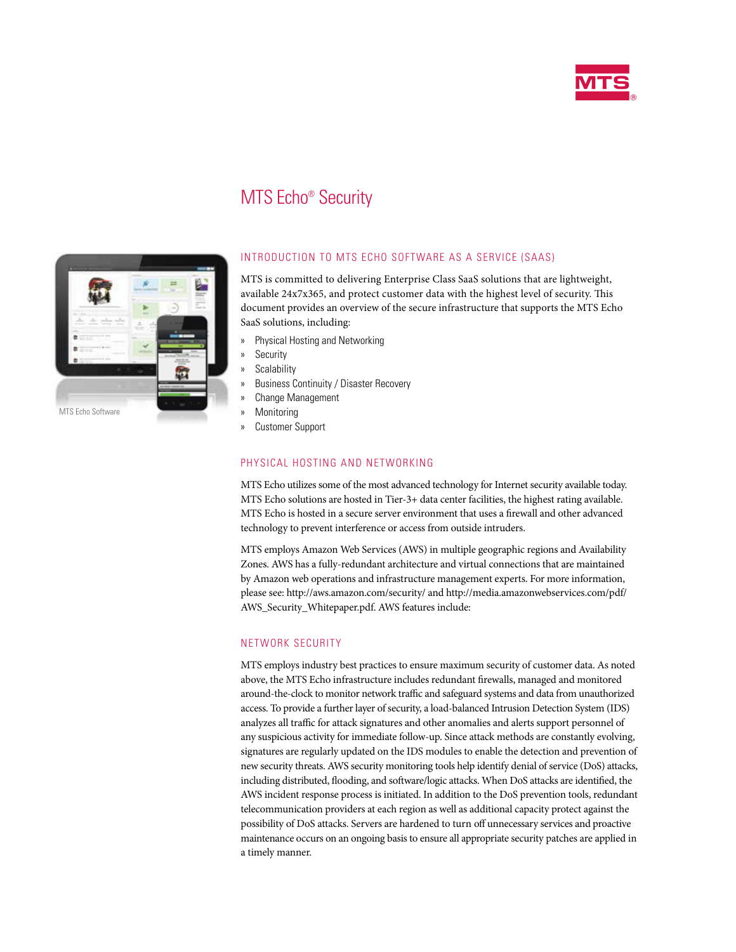

# MTS Echo® Security



# INTRODUCTION TO MTS ECHO SOFTWARE AS A SERVICE (SAAS)

MTS is committed to delivering Enterprise Class SaaS solutions that are lightweight, available 24x7x365, and protect customer data with the highest level of security. This document provides an overview of the secure infrastructure that supports the MTS Echo SaaS solutions, including:

- » Physical Hosting and Networking
- » Security
- » Scalability
- » Business Continuity / Disaster Recovery
- » Change Management
- » Monitoring
- » Customer Support

# PHYSICAL HOSTING AND NETWORKING

MTS Echo utilizes some of the most advanced technology for Internet security available today. MTS Echo solutions are hosted in Tier-3+ data center facilities, the highest rating available. MTS Echo is hosted in a secure server environment that uses a firewall and other advanced technology to prevent interference or access from outside intruders.

MTS employs Amazon Web Services (AWS) in multiple geographic regions and Availability Zones. AWS has a fully-redundant architecture and virtual connections that are maintained by Amazon web operations and infrastructure management experts. For more information, please see: http://aws.amazon.com/security/ and http://media.amazonwebservices.com/pdf/ AWS\_Security\_Whitepaper.pdf. AWS features include:

# NETWORK SECURITY

MTS employs industry best practices to ensure maximum security of customer data. As noted above, the MTS Echo infrastructure includes redundant firewalls, managed and monitored around‐the‐clock to monitor network traffic and safeguard systems and data from unauthorized access. To provide a further layer of security, a load‐balanced Intrusion Detection System (IDS) analyzes all traffic for attack signatures and other anomalies and alerts support personnel of any suspicious activity for immediate follow‐up. Since attack methods are constantly evolving, signatures are regularly updated on the IDS modules to enable the detection and prevention of new security threats. AWS security monitoring tools help identify denial of service (DoS) attacks, including distributed, flooding, and software/logic attacks. When DoS attacks are identified, the AWS incident response process is initiated. In addition to the DoS prevention tools, redundant telecommunication providers at each region as well as additional capacity protect against the possibility of DoS attacks. Servers are hardened to turn off unnecessary services and proactive maintenance occurs on an ongoing basis to ensure all appropriate security patches are applied in a timely manner.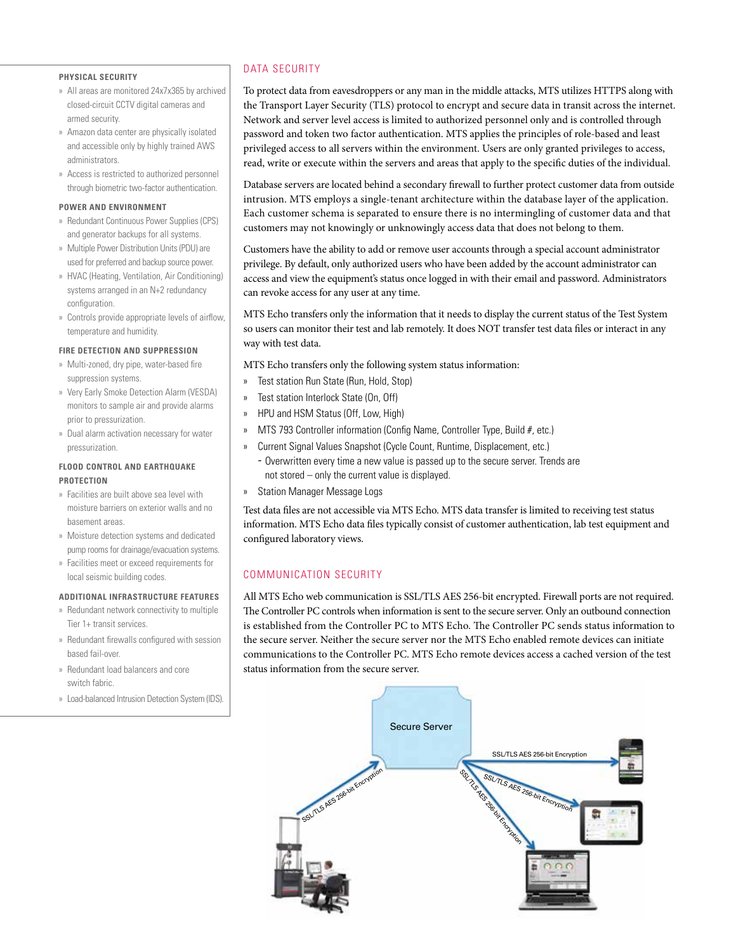#### **PHYSICAL SECURITY**

- » All areas are monitored 24x7x365 by archived closed-circuit CCTV digital cameras and armed security.
- » Amazon data center are physically isolated and accessible only by highly trained AWS administrators.
- » Access is restricted to authorized personnel through biometric two-factor authentication.

# **POWER AND ENVIRONMENT**

- » Redundant Continuous Power Supplies (CPS) and generator backups for all systems.
- » Multiple Power Distribution Units (PDU) are used for preferred and backup source power.
- » HVAC (Heating, Ventilation, Air Conditioning) systems arranged in an N+2 redundancy configuration.
- » Controls provide appropriate levels of airflow, temperature and humidity.

#### **FIRE DETECTION AND SUPPRESSION**

- » Multi-zoned, dry pipe, water-based fire suppression systems.
- » Very Early Smoke Detection Alarm (VESDA) monitors to sample air and provide alarms prior to pressurization.
- » Dual alarm activation necessary for water pressurization.

# **FLOOD CONTROL AND EARTHQUAKE PROTECTION**

- » Facilities are built above sea level with moisture barriers on exterior walls and no basement areas.
- » Moisture detection systems and dedicated pump rooms for drainage/evacuation systems.
- » Facilities meet or exceed requirements for local seismic building codes.

#### **ADDITIONAL INFRASTRUCTURE FEATURES**

- » Redundant network connectivity to multiple Tier 1+ transit services.
- » Redundant firewalls configured with session based fail-over.
- » Redundant load balancers and core switch fabric.
- » Load-balanced Intrusion Detection System (IDS).

# DATA SECURITY

To protect data from eavesdroppers or any man in the middle attacks, MTS utilizes HTTPS along with the Transport Layer Security (TLS) protocol to encrypt and secure data in transit across the internet. Network and server level access is limited to authorized personnel only and is controlled through password and token two factor authentication. MTS applies the principles of role-based and least privileged access to all servers within the environment. Users are only granted privileges to access, read, write or execute within the servers and areas that apply to the specific duties of the individual.

Database servers are located behind a secondary firewall to further protect customer data from outside intrusion. MTS employs a single-tenant architecture within the database layer of the application. Each customer schema is separated to ensure there is no intermingling of customer data and that customers may not knowingly or unknowingly access data that does not belong to them.

Customers have the ability to add or remove user accounts through a special account administrator privilege. By default, only authorized users who have been added by the account administrator can access and view the equipment's status once logged in with their email and password. Administrators can revoke access for any user at any time.

MTS Echo transfers only the information that it needs to display the current status of the Test System so users can monitor their test and lab remotely. It does NOT transfer test data files or interact in any way with test data.

MTS Echo transfers only the following system status information:

- » Test station Run State (Run, Hold, Stop)
- » Test station Interlock State (On, Off)
- » HPU and HSM Status (Off, Low, High)
- » MTS 793 Controller information (Config Name, Controller Type, Build #, etc.)
- » Current Signal Values Snapshot (Cycle Count, Runtime, Displacement, etc.)
	- Overwritten every time a new value is passed up to the secure server. Trends are not stored – only the current value is displayed.
- » Station Manager Message Logs

Test data files are not accessible via MTS Echo. MTS data transfer is limited to receiving test status information. MTS Echo data files typically consist of customer authentication, lab test equipment and configured laboratory views.

# COMMUNICATION SECURITY

All MTS Echo web communication is SSL/TLS AES 256-bit encrypted. Firewall ports are not required. The Controller PC controls when information is sent to the secure server. Only an outbound connection is established from the Controller PC to MTS Echo. The Controller PC sends status information to the secure server. Neither the secure server nor the MTS Echo enabled remote devices can initiate communications to the Controller PC. MTS Echo remote devices access a cached version of the test status information from the secure server.

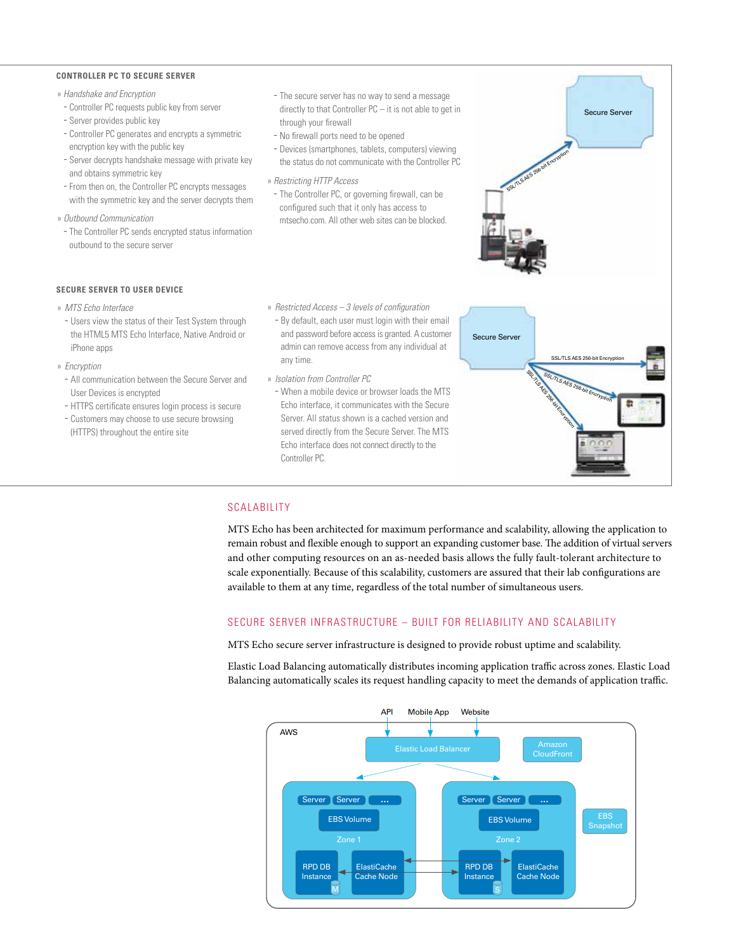#### **CONTROLLER PC TO SECURE SERVER**

- » *Handshake and Encryption*
- Controller PC requests public key from server - Server provides public key
- Controller PC generates and encrypts a symmetric encryption key with the public key
- Server decrypts handshake message with private key and obtains symmetric key
- From then on, the Controller PC encrypts messages with the symmetric key and the server decrypts them
- » *Outbound Communication*
- The Controller PC sends encrypted status information outbound to the secure server
- The secure server has no way to send a message directly to that Controller PC – it is not able to get in through your firewall
- No firewall ports need to be opened
- Devices (smartphones, tablets, computers) viewing the status do not communicate with the Controller PC
- » *Restricting HTTP Access*
	- The Controller PC, or governing firewall, can be configured such that it only has access to mtsecho.com. All other web sites can be blocked.
- » *Restricted Access 3 levels of configuration*
	- By default, each user must login with their email and password before access is granted. A customer admin can remove access from any individual at any time.
	- » *Isolation from Controller PC*
	- When a mobile device or browser loads the MTS Echo interface, it communicates with the Secure Server. All status shown is a cached version and served directly from the Secure Server. The MTS Echo interface does not connect directly to the Controller PC.

#### SCALABILITY

MTS Echo has been architected for maximum performance and scalability, allowing the application to remain robust and flexible enough to support an expanding customer base. The addition of virtual servers and other computing resources on an as-needed basis allows the fully fault-tolerant architecture to scale exponentially. Because of this scalability, customers are assured that their lab configurations are available to them at any time, regardless of the total number of simultaneous users.

### SECURE SERVER INFRASTRUCTURE – BUILT FOR RELIABILITY AND SCALABILITY

MTS Echo secure server infrastructure is designed to provide robust uptime and scalability.

Elastic Load Balancing automatically distributes incoming application traffic across zones. Elastic Load Balancing automatically scales its request handling capacity to meet the demands of application traffic.



- **SECURE SERVER TO USER DEVICE**
- » *MTS Echo Interface*
- Users view the status of their Test System through the HTML5 MTS Echo Interface, Native Android or iPhone apps
- » *Encryption*
	- All communication between the Secure Server and User Devices is encrypted
	- HTTPS certificate ensures login process is secure
	- Customers may choose to use secure browsing (HTTPS) throughout the entire site



Secure Server